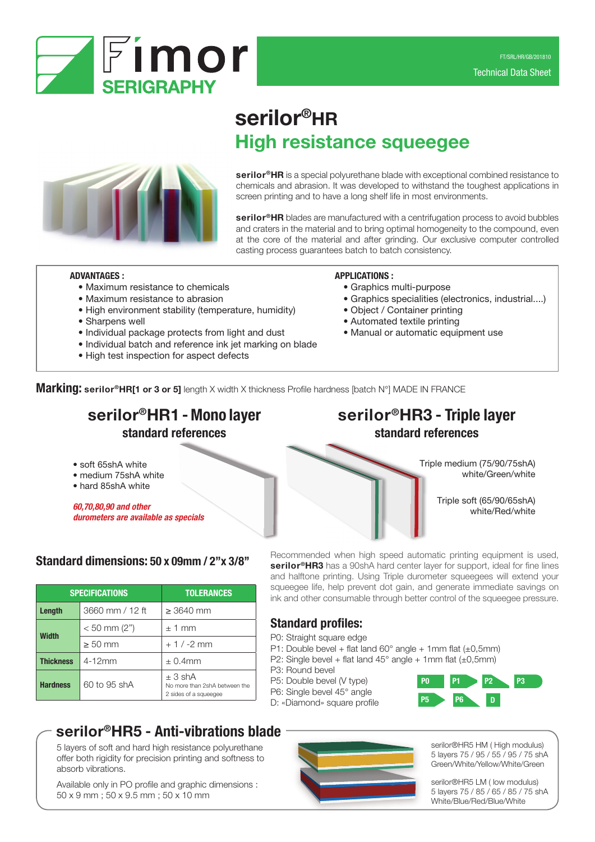

# serilor®HR High resistance squeegee



serilor<sup>®</sup>HR is a special polyurethane blade with exceptional combined resistance to chemicals and abrasion. It was developed to withstand the toughest applications in screen printing and to have a long shelf life in most environments.

serilor<sup>®</sup>HR blades are manufactured with a centrifugation process to avoid bubbles and craters in the material and to bring optimal homogeneity to the compound, even at the core of the material and after grinding. Our exclusive computer controlled casting process guarantees batch to batch consistency.

## ADVANTAGES :

- Maximum resistance to chemicals
- Maximum resistance to abrasion
- High environment stability (temperature, humidity)
- Sharpens well
- Individual package protects from light and dust
- Individual batch and reference ink jet marking on blade
- High test inspection for aspect defects

### APPLICATIONS :

- Graphics multi-purpose
- Graphics specialities (electronics, industrial....)
- Object / Container printing
- Automated textile printing
- Manual or automatic equipment use

Marking: serilor®HR[1 or 3 or 5] length X width X thickness Profile hardness [batch N°] MADE IN FRANCE

# serilor<sup>®</sup>HR1 - Mono layer serilor<sup>®</sup>HR3 - Triple layer standard references standard references

- soft 65shA white
- medium 75shA white
- hard 85shA white

*60,70,80,90 and other durometers are available as specials*

# Standard dimensions: 50 x 09mm / 2''x 3/8''

|                  | <b>SPECIFICATIONS</b> | <b>TOLERANCES</b>                                                     |  |  |
|------------------|-----------------------|-----------------------------------------------------------------------|--|--|
| Length           | 3660 mm / 12 ft       | $> 3640$ mm                                                           |  |  |
| Width            | $< 50$ mm (2")        | $\pm$ 1 mm                                                            |  |  |
|                  | $\geq 50$ mm          | $+1/ -2$ mm                                                           |  |  |
| <b>Thickness</b> | $4-12mm$              | $\pm$ 0.4mm                                                           |  |  |
| <b>Hardness</b>  | 60 to 95 shA          | $\pm$ 3 shA<br>No more than 2shA between the<br>2 sides of a squeegee |  |  |

# Triple soft (65/90/65shA) white/Red/white

Recommended when high speed automatic printing equipment is used, serilor<sup>®</sup>HR3 has a 90shA hard center layer for support, ideal for fine lines and halftone printing. Using Triple durometer squeegees will extend your squeegee life, help prevent dot gain, and generate immediate savings on ink and other consumable through better control of the squeegee pressure.

# Standard profiles:

- P0: Straight square edge
- P1: Double bevel + flat land  $60^{\circ}$  angle + 1mm flat ( $\pm$ 0,5mm)
- P2: Single bevel + flat land  $45^{\circ}$  angle + 1mm flat ( $\pm$ 0,5mm)
- P3: Round bevel
- P5: Double bevel (V type)
- P6: Single bevel 45° angle D: «Diamond» square profile



Triple medium (75/90/75shA)

white/Green/white

# serilor®HR5 - Anti-vibrations blade

5 layers of soft and hard high resistance polyurethane offer both rigidity for precision printing and softness to absorb vibrations.

Available only in PO profile and graphic dimensions : 50 x 9 mm ; 50 x 9.5 mm ; 50 x 10 mm

serilor®HR5 HM ( High modulus) 5 layers 75 / 95 / 55 / 95 / 75 shA Green/White/Yellow/White/Green

serilor®HR5 LM ( low modulus) 5 layers 75 / 85 / 65 / 85 / 75 shA White/Blue/Red/Blue/White